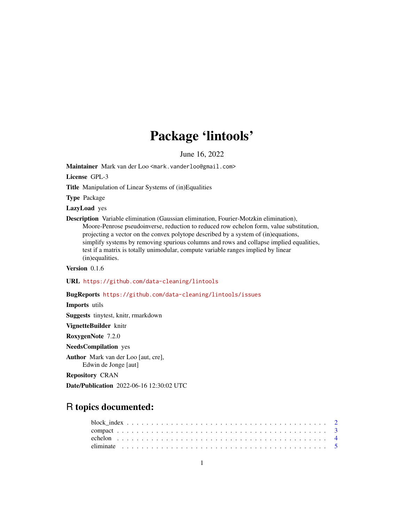## Package 'lintools'

June 16, 2022

<span id="page-0-0"></span>Maintainer Mark van der Loo <mark.vanderloo@gmail.com>

License GPL-3

Title Manipulation of Linear Systems of (in)Equalities

Type Package

LazyLoad yes

Description Variable elimination (Gaussian elimination, Fourier-Motzkin elimination), Moore-Penrose pseudoinverse, reduction to reduced row echelon form, value substitution, projecting a vector on the convex polytope described by a system of (in)equations, simplify systems by removing spurious columns and rows and collapse implied equalities, test if a matrix is totally unimodular, compute variable ranges implied by linear (in)equalities.

Version 0.1.6

URL <https://github.com/data-cleaning/lintools>

BugReports <https://github.com/data-cleaning/lintools/issues>

Imports utils Suggests tinytest, knitr, rmarkdown

VignetteBuilder knitr

RoxygenNote 7.2.0

NeedsCompilation yes

Author Mark van der Loo [aut, cre],

Edwin de Jonge [aut]

Repository CRAN

Date/Publication 2022-06-16 12:30:02 UTC

## R topics documented: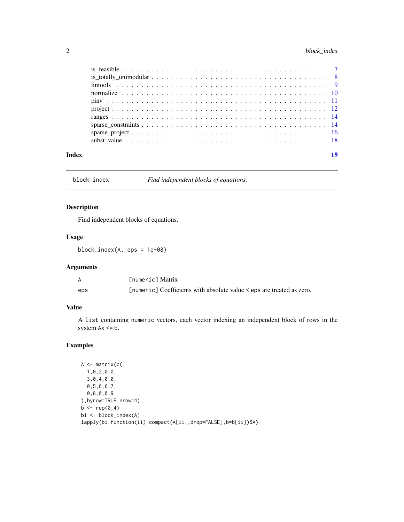## <span id="page-1-0"></span>2 block\_index

| Index |  |
|-------|--|

block\_index *Find independent blocks of equations.*

## Description

Find independent blocks of equations.

## Usage

block\_index(A, eps = 1e-08)

## Arguments

|     | <b>Fnumeric Matrix</b>                                                |
|-----|-----------------------------------------------------------------------|
| eps | [numeric] Coefficients with absolute value < eps are treated as zero. |

## Value

A list containing numeric vectors, each vector indexing an independent block of rows in the system  $Ax \leq b$ .

```
A <- matrix(c(
  1,0,2,0,0,
 3,0,4,0,0,
 0,5,0,6,7,
 0,8,0,0,9
),byrow=TRUE,nrow=4)
b \leftarrow rep(0,4)bi <- block_index(A)
lapply(bi,function(ii) compact(A[ii,,drop=FALSE],b=b[ii])$A)
```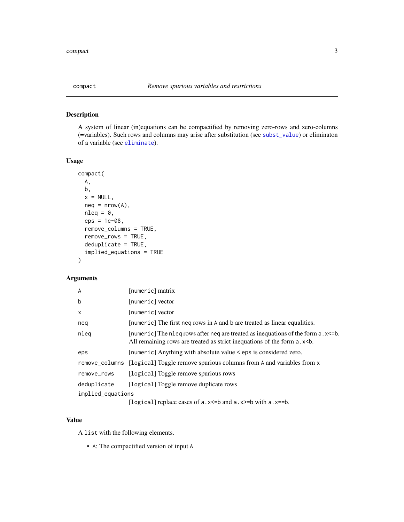<span id="page-2-0"></span>

## Description

A system of linear (in)equations can be compactified by removing zero-rows and zero-columns (=variables). Such rows and columns may arise after substitution (see [subst\\_value](#page-17-1)) or eliminaton of a variable (see [eliminate](#page-4-1)).

## Usage

```
compact(
 A,
 b,
 x = NULL,neq = nrow(A),
 nleq = 0,
  eps = 1e-08,
  remove_columns = TRUE,
  remove_rows = TRUE,
  deduplicate = TRUE,
  implied_equations = TRUE
)
```
## Arguments

| A                 | [numeric] matrix                                                                                                                                                         |
|-------------------|--------------------------------------------------------------------------------------------------------------------------------------------------------------------------|
| b                 | [numeric] vector                                                                                                                                                         |
| X                 | [numeric] vector                                                                                                                                                         |
| neq               | [numeric] The first neq rows in A and b are treated as linear equalities.                                                                                                |
| nleg              | [numeric] The nleg rows after neg are treated as inequations of the form $a$ , $x \le b$ .<br>All remaining rows are treated as strict inequations of the form a.x<br>s. |
| eps               | [numeric] Anything with absolute value < eps is considered zero.                                                                                                         |
|                   | remove_columns [logical] Toggle remove spurious columns from A and variables from x                                                                                      |
| remove_rows       | [logical] Toggle remove spurious rows                                                                                                                                    |
| deduplicate       | [logical] Toggle remove duplicate rows                                                                                                                                   |
| implied_equations |                                                                                                                                                                          |
|                   | [logical] replace cases of a. $x \le$ =b and a. $x \ge$ =b with a. $x =$ =b.                                                                                             |

## Value

A list with the following elements.

• A: The compactified version of input A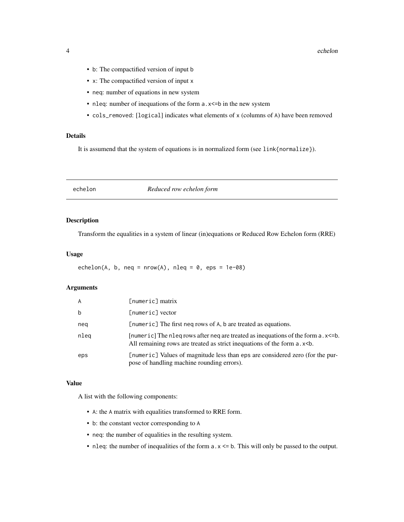- <span id="page-3-0"></span>• b: The compactified version of input b
- x: The compactified version of input x
- neq: number of equations in new system
- nleq: number of inequations of the form a.x <= b in the new system
- cols\_removed: [logical] indicates what elements of x (columns of A) have been removed

#### Details

It is assumend that the system of equations is in normalized form (see link{normalize}).

echelon *Reduced row echelon form*

## Description

Transform the equalities in a system of linear (in)equations or Reduced Row Echelon form (RRE)

## Usage

echelon(A, b, neq = nrow(A), nleq =  $0$ , eps = 1e-08)

## Arguments

| A    | $[numeric]$ matrix                                                                                                                                              |
|------|-----------------------------------------------------------------------------------------------------------------------------------------------------------------|
| b    | [numeric] vector                                                                                                                                                |
| neg  | [numeric] The first neq rows of A, b are treated as equations.                                                                                                  |
| nleg | [numeric] The nleq rows after neq are treated as inequations of the form a.x<=b.<br>All remaining rows are treated as strict inequations of the form a.x<br>sb. |
| eps  | [numeric] Values of magnitude less than eps are considered zero (for the pur-<br>pose of handling machine rounding errors).                                     |

## Value

A list with the following components:

- A: the A matrix with equalities transformed to RRE form.
- b: the constant vector corresponding to A
- neq: the number of equalities in the resulting system.
- nleq: the number of inequalities of the form a.x <= b. This will only be passed to the output.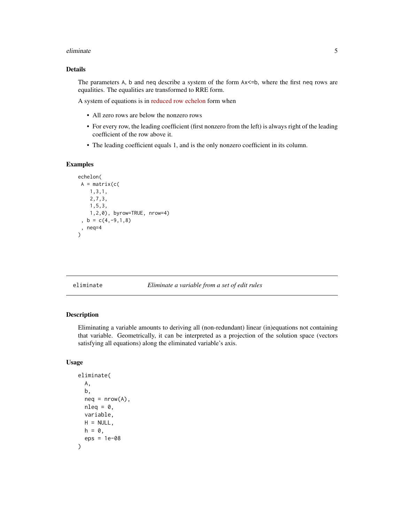#### <span id="page-4-0"></span>eliminate 5 and 5 and 5 and 5 and 5 and 5 and 5 and 5 and 5 and 5 and 5 and 5 and 5 and 5 and 5 and 5 and 5 and 5 and 5 and 5 and 5 and 5 and 5 and 5 and 5 and 5 and 5 and 5 and 5 and 5 and 5 and 5 and 5 and 5 and 5 and 5

## Details

The parameters A, b and neq describe a system of the form  $Ax \leq b$ , where the first neq rows are equalities. The equalities are transformed to RRE form.

A system of equations is in [reduced row echelon](https://en.wikipedia.org/wiki/Row_echelon_form) form when

- All zero rows are below the nonzero rows
- For every row, the leading coefficient (first nonzero from the left) is always right of the leading coefficient of the row above it.
- The leading coefficient equals 1, and is the only nonzero coefficient in its column.

## Examples

```
echelon(
A = matrix(c()1,3,1,
    2,7,3,
    1,5,3,
    1,2,0), byrow=TRUE, nrow=4)
 , b = c(4, -9, 1, 8), neq=4
\mathcal{L}
```
<span id="page-4-1"></span>eliminate *Eliminate a variable from a set of edit rules*

## **Description**

Eliminating a variable amounts to deriving all (non-redundant) linear (in)equations not containing that variable. Geometrically, it can be interpreted as a projection of the solution space (vectors satisfying all equations) along the eliminated variable's axis.

## Usage

```
eliminate(
 A,
  b,
 neq = nrow(A),nleq = 0,
 variable,
 H = NULL,
 h = 0,
  eps = 1e-08
)
```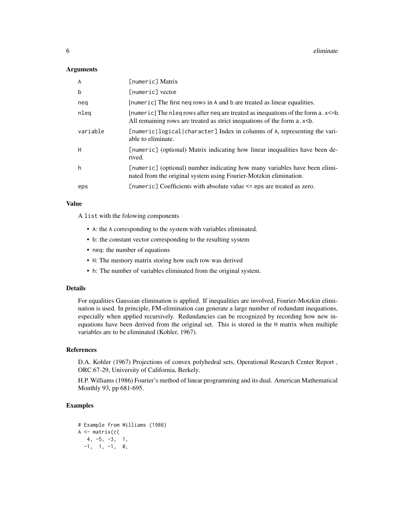6 eliminate eliminate eliminate eliminate eliminate eliminate eliminate eliminate eliminate eliminate eliminate eliminate eliminate eliminate eliminate eliminate eliminate eliminate eliminate eliminate eliminate eliminate

#### **Arguments**

| A        | [numeric] Matrix                                                                                                                                                         |
|----------|--------------------------------------------------------------------------------------------------------------------------------------------------------------------------|
| b        | [numeric] vector                                                                                                                                                         |
| neg      | [numeric] The first neq rows in A and b are treated as linear equalities.                                                                                                |
| nleg     | [numeric] The nleg rows after neg are treated as inequations of the form $a$ . $x \le b$ .<br>All remaining rows are treated as strict inequations of the form a.x<br>s. |
| variable | [numeric logical character] Index in columns of A, representing the vari-<br>able to eliminate.                                                                          |
| Н        | [numeric] (optional) Matrix indicating how linear inequalities have been de-<br>rived.                                                                                   |
| h        | [numeric] (optional) number indicating how many variables have been elimi-<br>nated from the original system using Fourier-Motzkin elimination.                          |
| eps      | [numeric] Coefficients with absolute value $\leq$ eps are treated as zero.                                                                                               |

#### Value

A list with the folowing components

- A: the A corresponding to the system with variables eliminated.
- b: the constant vector corresponding to the resulting system
- neq: the number of equations
- H: The memory matrix storing how each row was derived
- h: The number of variables eliminated from the original system.

#### Details

For equalities Gaussian elimination is applied. If inequalities are involved, Fourier-Motzkin elimination is used. In principle, FM-elimination can generate a large number of redundant inequations, especially when applied recursively. Redundancies can be recognized by recording how new inequations have been derived from the original set. This is stored in the H matrix when multiple variables are to be eliminated (Kohler, 1967).

#### References

D.A. Kohler (1967) Projections of convex polyhedral sets, Operational Research Center Report , ORC 67-29, University of California, Berkely.

H.P. Williams (1986) Fourier's method of linear programming and its dual. American Mathematical Monthly 93, pp 681-695.

```
# Example from Williams (1986)
A \leftarrow matrix(c)4, -5, -3, 1,
  -1, 1, -1, 0,
```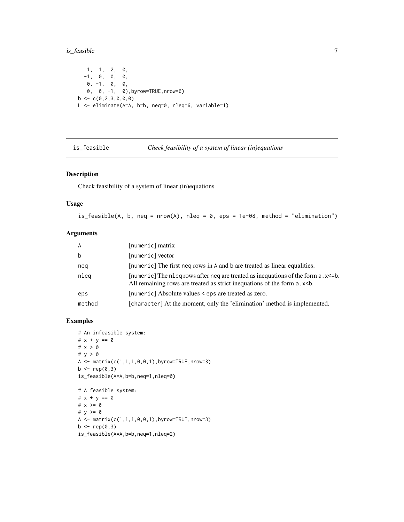## <span id="page-6-0"></span>is\_feasible 7

1, 1, 2, 0, -1, 0, 0, 0,  $\,$  0,  $\,$  0,  $\,$  0,  $\,$  0,  $\,$ 0, 0, -1, 0),byrow=TRUE,nrow=6)  $b \leftarrow c(0, 2, 3, 0, 0, 0)$ L <- eliminate(A=A, b=b, neq=0, nleq=6, variable=1)

is\_feasible *Check feasibility of a system of linear (in)equations*

## Description

Check feasibility of a system of linear (in)equations

#### Usage

is\_feasible(A, b, neq = nrow(A), nleq =  $0$ , eps = 1e-08, method = "elimination")

## Arguments

| A      | [numeric] matrix                                                                                                                                                          |
|--------|---------------------------------------------------------------------------------------------------------------------------------------------------------------------------|
| b      | [numeric] vector                                                                                                                                                          |
| neg    | [numeric] The first neq rows in A and b are treated as linear equalities.                                                                                                 |
| nleg   | [numeric] The nleg rows after neg are treated as inequations of the form $a$ . $x \le b$ .<br>All remaining rows are treated as strict inequations of the form a.x<br>sb. |
| eps    | [numeric] Absolute values < eps are treated as zero.                                                                                                                      |
| method | [character] At the moment, only the 'elimination' method is implemented.                                                                                                  |

```
# An infeasible system:
# x + y == 0
# x > 0
# y > 0
A \leq -\text{matrix}(c(1,1,1,0,0,1),byrow=True,nrows=3)b \leftarrow rep(0,3)is_feasible(A=A,b=b,neq=1,nleq=0)
# A feasible system:
# x + y == 0# x >= 0
# y \ge 0A \leq - matrix(c(1,1,1,0,0,1),byrow=TRUE,nrow=3)
b \leftarrow rep(0,3)
```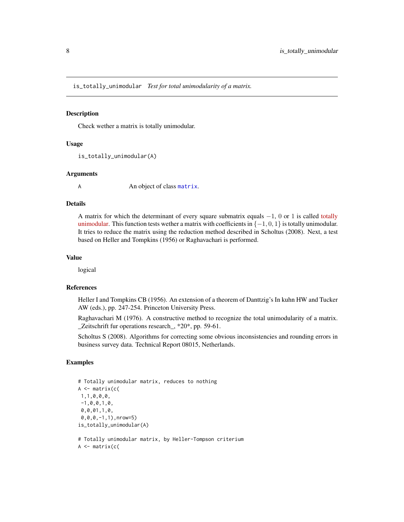<span id="page-7-0"></span>is\_totally\_unimodular *Test for total unimodularity of a matrix.*

#### Description

Check wether a matrix is totally unimodular.

#### Usage

is\_totally\_unimodular(A)

#### Arguments

A An object of class [matrix](#page-0-0).

## Details

A matrix for which the determinant of every square submatrix equals −1, 0 or 1 is called [totally](https://en.wikipedia.org/wiki/Unimodular_matrix) [unimodular.](https://en.wikipedia.org/wiki/Unimodular_matrix) This function tests wether a matrix with coefficients in  $\{-1, 0, 1\}$  is totally unimodular. It tries to reduce the matrix using the reduction method described in Scholtus (2008). Next, a test based on Heller and Tompkins (1956) or Raghavachari is performed.

#### Value

logical

#### References

Heller I and Tompkins CB (1956). An extension of a theorem of Danttzig's In kuhn HW and Tucker AW (eds.), pp. 247-254. Princeton University Press.

Raghavachari M (1976). A constructive method to recognize the total unimodularity of a matrix. \_Zeitschrift fur operations research\_, \*20\*, pp. 59-61.

Scholtus S (2008). Algorithms for correcting some obvious inconsistencies and rounding errors in business survey data. Technical Report 08015, Netherlands.

```
# Totally unimodular matrix, reduces to nothing
A \leftarrow matrix(c)1,1,0,0,0,
-1, 0, 0, 1, 0,0,0,01,1,0,
0,0,0,-1,1),nrow=5)
is_totally_unimodular(A)
# Totally unimodular matrix, by Heller-Tompson criterium
```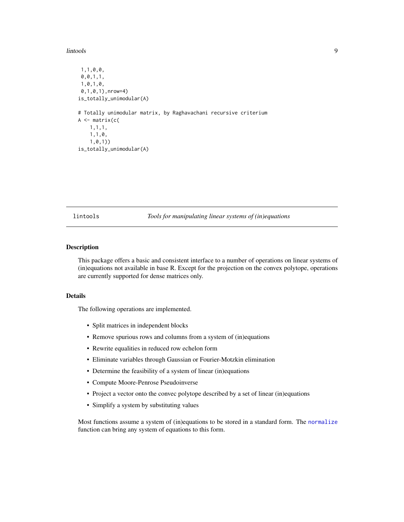#### <span id="page-8-0"></span>lintools **9**

```
1,1,0,0,
0,0,1,1,
1,0,1,0,
0,1,0,1),nrow=4)
is_totally_unimodular(A)
# Totally unimodular matrix, by Raghavachani recursive criterium
A <- matrix(c(
    1,1,1,
   1,1,0,
    1,0,1))
is_totally_unimodular(A)
```
lintools *Tools for manipulating linear systems of (in)equations*

## **Description**

This package offers a basic and consistent interface to a number of operations on linear systems of (in)equations not available in base R. Except for the projection on the convex polytope, operations are currently supported for dense matrices only.

#### Details

The following operations are implemented.

- Split matrices in independent blocks
- Remove spurious rows and columns from a system of (in)equations
- Rewrite equalities in reduced row echelon form
- Eliminate variables through Gaussian or Fourier-Motzkin elimination
- Determine the feasibility of a system of linear (in)equations
- Compute Moore-Penrose Pseudoinverse
- Project a vector onto the convec polytope described by a set of linear (in)equations
- Simplify a system by substituting values

Most functions assume a system of (in)equations to be stored in a standard form. The [normalize](#page-9-1) function can bring any system of equations to this form.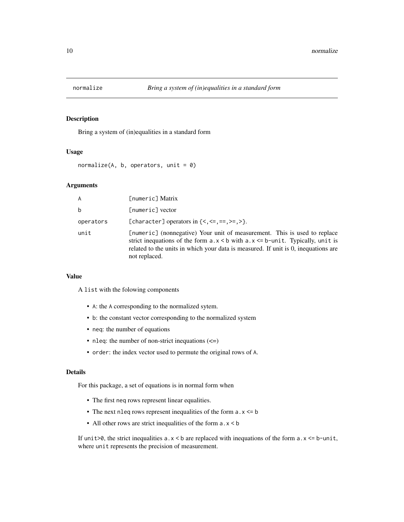<span id="page-9-1"></span><span id="page-9-0"></span>

## Description

Bring a system of (in)equalities in a standard form

## Usage

normalize(A, b, operators, unit =  $0$ )

## Arguments

| A         | [numeric] Matrix                                                                                                                                                                                                                                                                        |
|-----------|-----------------------------------------------------------------------------------------------------------------------------------------------------------------------------------------------------------------------------------------------------------------------------------------|
| b         | [numeric] vector                                                                                                                                                                                                                                                                        |
| operators | [character] operators in $\{<, \leq, ==, >=, >\}$ .                                                                                                                                                                                                                                     |
| unit      | [numeric] (nonnegative) Your unit of measurement. This is used to replace<br>strict inequations of the form $a \cdot x \leq b$ with $a \cdot x \leq b$ -unit. Typically, unit is<br>related to the units in which your data is measured. If unit is 0, inequations are<br>not replaced. |

## Value

A list with the folowing components

- A: the A corresponding to the normalized sytem.
- b: the constant vector corresponding to the normalized system
- neq: the number of equations
- nleq: the number of non-strict inequations  $(\leq)$
- order: the index vector used to permute the original rows of A.

#### Details

For this package, a set of equations is in normal form when

- The first neq rows represent linear equalities.
- The next nleq rows represent inequalities of the form  $a \cdot x \leq b$
- All other rows are strict inequalities of the form a.x < b

If unit>0, the strict inequalities  $a \cdot x < b$  are replaced with inequations of the form  $a \cdot x \leq b$ -unit, where unit represents the precision of measurement.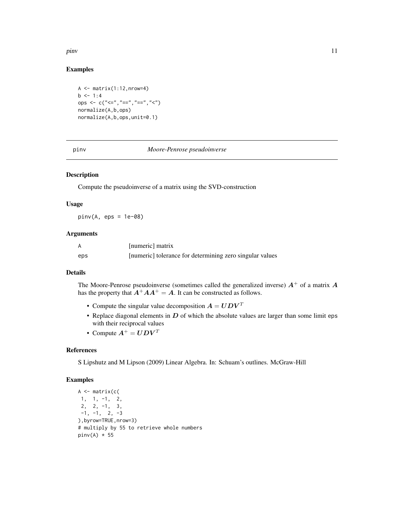<span id="page-10-0"></span>pinv and the state of the state of the state of the state of the state of the state of the state of the state of the state of the state of the state of the state of the state of the state of the state of the state of the s

## Examples

```
A \leftarrow matrix(1:12, nrow=4)b \le -1:4ops \leq \leq \leq \leq \leq \leq \leq \leq \leq \leq \leq \leq \leq \leq \leq \leq \leq \leq \leq \leq \leq \leq \leq \leq \leq \leq \leq \leq \leq \leq \leq \leq \leq \leq \leq \leq normalize(A,b,ops)
normalize(A,b,ops,unit=0.1)
```
#### pinv *Moore-Penrose pseudoinverse*

## Description

Compute the pseudoinverse of a matrix using the SVD-construction

#### Usage

 $pinv(A, eps = 1e-08)$ 

## Arguments

|     | [numeric] matrix                                         |
|-----|----------------------------------------------------------|
| eps | [numeric] tolerance for determining zero singular values |

#### Details

The Moore-Penrose pseudoinverse (sometimes called the generalized inverse)  $A^+$  of a matrix  $A$ has the property that  $A^+AA^+ = A$ . It can be constructed as follows.

- Compute the singular value decomposition  $A = U D V^T$
- Replace diagonal elements in  $D$  of which the absolute values are larger than some limit eps with their reciprocal values
- Compute  $A^+ = U D V^T$

## References

S Lipshutz and M Lipson (2009) Linear Algebra. In: Schuam's outlines. McGraw-Hill

```
A \leftarrow matrix(c)1, 1, -1, 2,
 2, 2, -1, 3,
 -1, -1, 2, -3),byrow=TRUE,nrow=3)
# multiply by 55 to retrieve whole numbers
pinv(A) * 55
```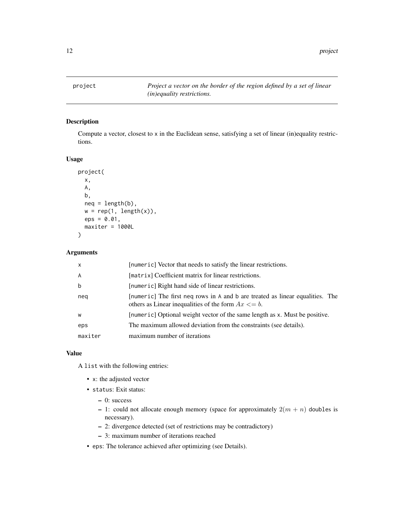<span id="page-11-1"></span><span id="page-11-0"></span>project *Project a vector on the border of the region defined by a set of linear (in)equality restrictions.*

## Description

Compute a vector, closest to x in the Euclidean sense, satisfying a set of linear (in)equality restrictions.

## Usage

```
project(
  x,
  A,
 b,
  neq = length(b),
 w = rep(1, length(x)),eps = 0.01,
 maxiter = 1000L
)
```
#### Arguments

| $\mathsf{x}$   | [numeric] Vector that needs to satisfy the linear restrictions.                                                                          |
|----------------|------------------------------------------------------------------------------------------------------------------------------------------|
| $\overline{A}$ | [matrix] Coefficient matrix for linear restrictions.                                                                                     |
| b              | [numeric] Right hand side of linear restrictions.                                                                                        |
| neg            | [numeric] The first neg rows in A and b are treated as linear equalities. The<br>others as Linear inequalities of the form $Ax \leq b$ . |
| W              | [numeric] Optional weight vector of the same length as x. Must be positive.                                                              |
| eps            | The maximum allowed deviation from the constraints (see details).                                                                        |
| maxiter        | maximum number of iterations                                                                                                             |

## Value

A list with the following entries:

- x: the adjusted vector
- status: Exit status:
	- 0: success
	- 1: could not allocate enough memory (space for approximately  $2(m + n)$  doubles is necessary).
	- 2: divergence detected (set of restrictions may be contradictory)
	- 3: maximum number of iterations reached
- eps: The tolerance achieved after optimizing (see Details).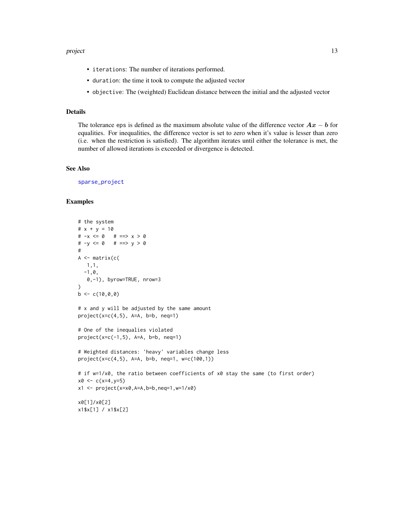#### <span id="page-12-0"></span>project that the contract of the contract of the contract of the contract of the contract of the contract of the contract of the contract of the contract of the contract of the contract of the contract of the contract of t

- iterations: The number of iterations performed.
- duration: the time it took to compute the adjusted vector
- objective: The (weighted) Euclidean distance between the initial and the adjusted vector

## Details

The tolerance eps is defined as the maximum absolute value of the difference vector  $Ax - b$  for equalities. For inequalities, the difference vector is set to zero when it's value is lesser than zero (i.e. when the restriction is satisfied). The algorithm iterates until either the tolerance is met, the number of allowed iterations is exceeded or divergence is detected.

#### See Also

[sparse\\_project](#page-15-1)

```
# the system
# x + y = 10# -x \le 0 # ==> x > 0# -y \le 0 # ==> y > 0#
A \leftarrow matrix(c)1,1,
  -1, \emptyset,0,-1), byrow=TRUE, nrow=3
\mathcal{L}b \leq c(10, 0, 0)# x and y will be adjusted by the same amount
project(x=c(4,5), A=A, b=b, neq=1)# One of the inequalies violated
project(x=c(-1,5), A=A, b=b, neq=1)# Weighted distances: 'heavy' variables change less
project(x=c(4,5), A=A, b=b, neq=1, w=c(100,1))
# if w=1/x0, the ratio between coefficients of x0 stay the same (to first order)
x0 \leq -c(x=4, y=5)x1 \leq -\text{project}(x=x0, A=A, b=b, neq=1, w=1/x0)x0[1]/x0[2]
x1$x[1] / x1$x[2]
```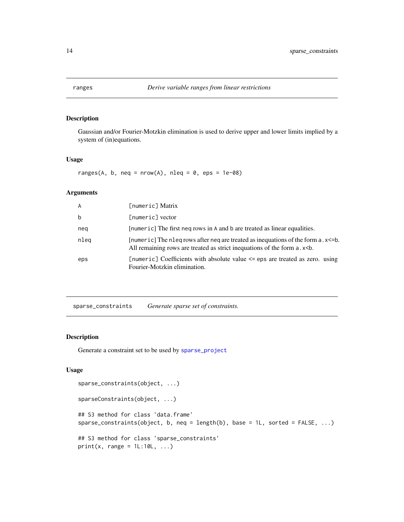<span id="page-13-0"></span>

## Description

Gaussian and/or Fourier-Motzkin elimination is used to derive upper and lower limits implied by a system of (in)equations.

## Usage

ranges(A, b, neq = nrow(A), nleq =  $0$ , eps = 1e-08)

## Arguments

| A    | [numeric] Matrix                                                                                                                                                          |
|------|---------------------------------------------------------------------------------------------------------------------------------------------------------------------------|
| b    | [numeric] vector                                                                                                                                                          |
| nea  | [numeric] The first neg rows in A and b are treated as linear equalities.                                                                                                 |
| nleg | [numeric] The nleq rows after neq are treated as inequations of the form $a$ . $x \le b$ .<br>All remaining rows are treated as strict inequations of the form a.x<br>sb. |
| eps  | [numeric] Coefficients with absolute value $\leq$ eps are treated as zero. using<br>Fourier-Motzkin elimination.                                                          |

<span id="page-13-1"></span>sparse\_constraints *Generate sparse set of constraints.*

## Description

Generate a constraint set to be used by [sparse\\_project](#page-15-1)

## Usage

```
sparse_constraints(object, ...)
sparseConstraints(object, ...)
## S3 method for class 'data.frame'
sparse_constraints(object, b, neq = length(b), base = 1L, sorted = FALSE, ...)
## S3 method for class 'sparse_constraints'
print(x, range = 1L:10L, ...)
```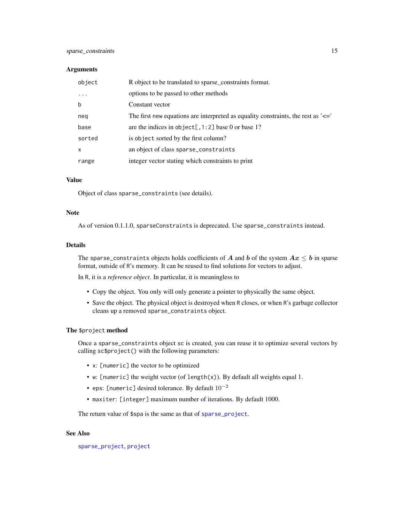#### <span id="page-14-0"></span>**Arguments**

| object   | R object to be translated to sparse_constraints format.                               |
|----------|---------------------------------------------------------------------------------------|
| $\cdots$ | options to be passed to other methods                                                 |
| b        | Constant vector                                                                       |
| neq      | The first new equations are interpreted as equality constraints, the rest as $\leq$ = |
| base     | are the indices in object[, $1:2$ ] base 0 or base 1?                                 |
| sorted   | is object sorted by the first column?                                                 |
| X        | an object of class sparse_constraints                                                 |
| range    | integer vector stating which constraints to print                                     |

#### Value

Object of class sparse\_constraints (see details).

#### Note

As of version 0.1.1.0, sparseConstraints is deprecated. Use sparse\_constraints instead.

#### Details

The sparse\_constraints objects holds coefficients of A and b of the system  $Ax \leq b$  in sparse format, outside of R's memory. It can be reused to find solutions for vectors to adjust.

In R, it is a *reference object*. In particular, it is meaningless to

- Copy the object. You only will only generate a pointer to physically the same object.
- Save the object. The physical object is destroyed when R closes, or when R's garbage collector cleans up a removed sparse\_constraints object.

## The \$project method

Once a sparse\_constraints object sc is created, you can reuse it to optimize several vectors by calling sc\$project() with the following parameters:

- x: [numeric] the vector to be optimized
- w: [numeric] the weight vector (of length(x)). By default all weights equal 1.
- eps: [numeric] desired tolerance. By default  $10^{-2}$
- maxiter: [integer] maximum number of iterations. By default 1000.

The return value of \$spa is the same as that of [sparse\\_project](#page-15-1).

#### See Also

[sparse\\_project](#page-15-1), [project](#page-11-1)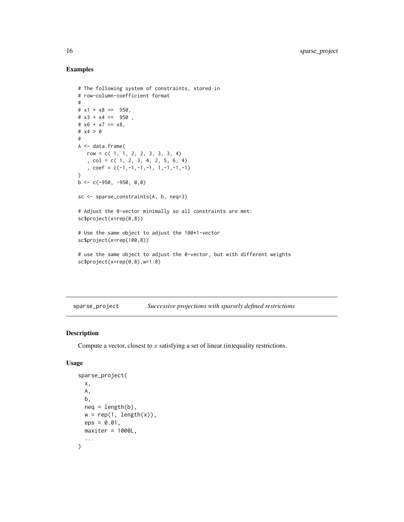## Examples

```
# The following system of constraints, stored in
# row-column-coefficient format
#
# x1 + x8 = 950,
# x3 + x4 == 950,
# x6 + x7 == x8,
# x4 > 0#
A <- data.frame(
  row = c( 1, 1, 2, 2, 3, 3, 3, 4)
   , col = c( 1, 2, 3, 4, 2, 5, 6, 4)
   , coef = c(-1,-1,-1,-1, 1,-1,-1,-1)
\mathcal{L}b \leq -c(-950, -950, 0, 0)sc <- sparse_constraints(A, b, neq=3)
# Adjust the 0-vector minimally so all constraints are met:
sc$project(x=rep(0,8))
# Use the same object to adjust the 100*1-vector
sc$project(x=rep(100,8))
# use the same object to adjust the 0-vector, but with different weights
sc$project(x=rep(0,8),w=1:8)
```
<span id="page-15-1"></span>sparse\_project *Successive projections with sparsely defined restrictions*

## Description

Compute a vector, closest to  $x$  satisfying a set of linear (in)equality restrictions.

#### Usage

```
sparse_project(
 x,
 A,
 b,
 neq = length(b),
 w = rep(1, length(x)),eps = 0.01,
 maxiter = 1000L,...
)
```
<span id="page-15-0"></span>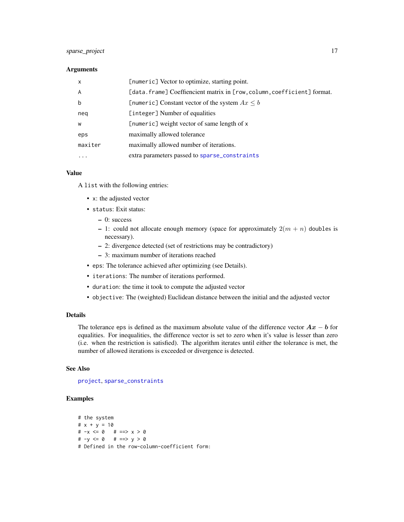## <span id="page-16-0"></span>sparse\_project 17

## Arguments

| $\mathsf{x}$ | [numeric] Vector to optimize, starting point.                           |
|--------------|-------------------------------------------------------------------------|
| A            | [data.frame] Coeffiencient matrix in [row, column, coefficient] format. |
| b            | [numeric] Constant vector of the system $Ax \leq b$                     |
| neg          | [integer] Number of equalities                                          |
| W            | [numeric] weight vector of same length of x                             |
| eps          | maximally allowed tolerance                                             |
| maxiter      | maximally allowed number of iterations.                                 |
| $\ddotsc$    | extra parameters passed to sparse_constraints                           |

## Value

A list with the following entries:

- x: the adjusted vector
- status: Exit status:
	- 0: success
	- 1: could not allocate enough memory (space for approximately  $2(m + n)$  doubles is necessary).
	- 2: divergence detected (set of restrictions may be contradictory)
	- 3: maximum number of iterations reached
- eps: The tolerance achieved after optimizing (see Details).
- iterations: The number of iterations performed.
- duration: the time it took to compute the adjusted vector
- objective: The (weighted) Euclidean distance between the initial and the adjusted vector

## Details

The tolerance eps is defined as the maximum absolute value of the difference vector  $Ax - b$  for equalities. For inequalities, the difference vector is set to zero when it's value is lesser than zero (i.e. when the restriction is satisfied). The algorithm iterates until either the tolerance is met, the number of allowed iterations is exceeded or divergence is detected.

#### See Also

[project](#page-11-1), [sparse\\_constraints](#page-13-1)

```
# the system
# x + y = 10# -x <= 0 # ==> x > 0
# -y <= 0 # ==> y > 0
# Defined in the row-column-coefficient form:
```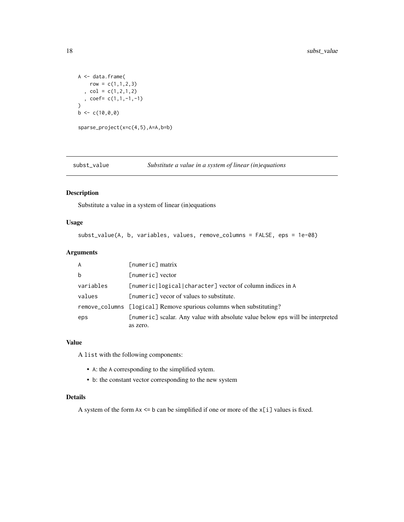```
A <- data.frame(
    row = c(1,1,2,3), col = c(1, 2, 1, 2), coef= c(1,1,-1,-1)
\overline{)}b \leftarrow c(10, 0, 0)sparse_project(x=c(4,5),A=A,b=b)
```
<span id="page-17-1"></span>subst\_value *Substitute a value in a system of linear (in)equations*

## Description

Substitute a value in a system of linear (in)equations

### Usage

```
subst_value(A, b, variables, values, remove_columns = FALSE, eps = 1e-08)
```
## Arguments

| $\overline{A}$ | $[numeric]$ matrix                                                            |
|----------------|-------------------------------------------------------------------------------|
| b              | [numeric] vector                                                              |
| variables      | [numeric logical character] vector of column indices in A                     |
| values         | [numeric] vecor of values to substitute.                                      |
|                | remove_columns [logical] Remove spurious columns when substituting?           |
| eps            | [numeric] scalar. Any value with absolute value below eps will be interpreted |
|                | as zero.                                                                      |

#### Value

A list with the following components:

- A: the A corresponding to the simplified sytem.
- b: the constant vector corresponding to the new system

#### Details

A system of the form Ax <= b can be simplified if one or more of the x[i] values is fixed.

<span id="page-17-0"></span>